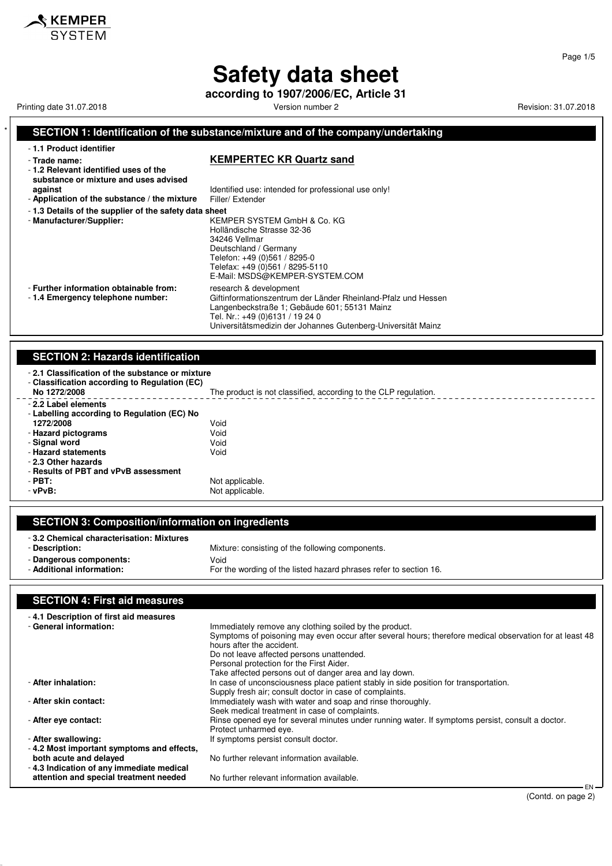**according to 1907/2006/EC, Article 31**

Printing date 31.07.2018 **Printing date 31.07.2018** Version number 2 Revision: 31.07.2018

 $\hat{\mathcal{S}}$  KEMPER SYSTEM

#### **SECTION 1: Identification of the substance/mixture and of the company/undertaking** - **1.1 Product identifier** - **Trade name: KEMPERTEC KR Quartz sand** - **1.2 Relevant identified uses of the substance or mixture and uses advised against against Identified use: intended for professional use only!**<br>**Application of the substance / the mixture** Filler/ Extender - Application of the substance / the mixture - **1.3 Details of the supplier of the safety data sheet** - **Manufacturer/Supplier:** KEMPER SYSTEM GmbH & Co. KG Holländische Strasse 32-36 34246 Vellmar Deutschland / Germany Telefon: +49 (0)561 / 8295-0 Telefax: +49 (0)561 / 8295-5110 E-Mail: MSDS@KEMPER-SYSTEM.COM - **Further information obtainable from:** research & development<br>- 1.4 **Emergency telephone number:** Giftinformationszentrum Giftinformationszentrum der Länder Rheinland-Pfalz und Hessen Langenbeckstraße 1; Gebäude 601; 55131 Mainz Tel. Nr.: +49 (0)6131 / 19 24 0 Universitätsmedizin der Johannes Gutenberg-Universität Mainz **SECTION 2: Hazards identification** - **2.1 Classification of the substance or mixture**

| - Classification according to Regulation (EC)<br>No 1272/2008 | The product is not classified, according to the CLP regulation. |
|---------------------------------------------------------------|-----------------------------------------------------------------|
| - 2.2 Label elements                                          |                                                                 |
| - Labelling according to Regulation (EC) No                   |                                                                 |
| 1272/2008                                                     | Void                                                            |
| - Hazard pictograms                                           | Void                                                            |
| - Signal word                                                 | Void                                                            |
| - Hazard statements                                           | Void                                                            |
| - 2.3 Other hazards                                           |                                                                 |
| - Results of PBT and vPvB assessment                          |                                                                 |
| $-$ PBT:                                                      | Not applicable.                                                 |
| - vPvB:                                                       | Not applicable.                                                 |
|                                                               |                                                                 |

| <b>SECTION 3: Composition/information on ingredients</b>                                                           |                                                                                                                               |
|--------------------------------------------------------------------------------------------------------------------|-------------------------------------------------------------------------------------------------------------------------------|
| -3.2 Chemical characterisation: Mixtures<br>- Description:<br>- Dangerous components:<br>- Additional information: | Mixture: consisting of the following components.<br>Void<br>For the wording of the listed hazard phrases refer to section 16. |
| <b>SECTION 4: First aid measures</b>                                                                               |                                                                                                                               |

| -4.1 Description of first aid measures<br>- General information:                   | Immediately remove any clothing soiled by the product.<br>Symptoms of poisoning may even occur after several hours; therefore medical observation for at least 48<br>hours after the accident.<br>Do not leave affected persons unattended.<br>Personal protection for the First Aider.<br>Take affected persons out of danger area and lay down. |
|------------------------------------------------------------------------------------|---------------------------------------------------------------------------------------------------------------------------------------------------------------------------------------------------------------------------------------------------------------------------------------------------------------------------------------------------|
| - After inhalation:                                                                | In case of unconsciousness place patient stably in side position for transportation.<br>Supply fresh air; consult doctor in case of complaints.                                                                                                                                                                                                   |
| - After skin contact:                                                              | Immediately wash with water and soap and rinse thoroughly.<br>Seek medical treatment in case of complaints.                                                                                                                                                                                                                                       |
| - After eye contact:                                                               | Rinse opened eye for several minutes under running water. If symptoms persist, consult a doctor.<br>Protect unharmed eye.                                                                                                                                                                                                                         |
| - After swallowing:                                                                | If symptoms persist consult doctor.                                                                                                                                                                                                                                                                                                               |
| -4.2 Most important symptoms and effects,                                          |                                                                                                                                                                                                                                                                                                                                                   |
| both acute and delayed                                                             | No further relevant information available.                                                                                                                                                                                                                                                                                                        |
| -4.3 Indication of any immediate medical<br>attention and special treatment needed | No further relevant information available.<br>$EN-$                                                                                                                                                                                                                                                                                               |

Page 1/5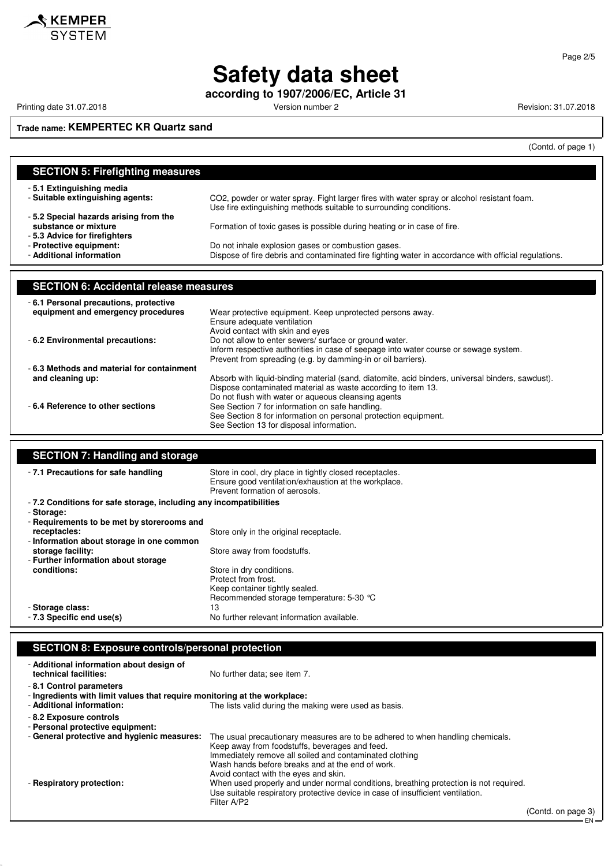

**according to 1907/2006/EC, Article 31**

Printing date 31.07.2018 **Printing date 31.07.2018** Version number 2 **Revision: 31.07.2018** 

KEMPER **SYSTEM** 

## **Trade name: KEMPERTEC KR Quartz sand**

(Contd. of page 1)

| <b>SECTION 5: Firefighting measures</b>       |                                                                                                                                                                  |
|-----------------------------------------------|------------------------------------------------------------------------------------------------------------------------------------------------------------------|
| -5.1 Extinguishing media                      |                                                                                                                                                                  |
| - Suitable extinguishing agents:              | CO2, powder or water spray. Fight larger fires with water spray or alcohol resistant foam.<br>Use fire extinguishing methods suitable to surrounding conditions. |
| -5.2 Special hazards arising from the         |                                                                                                                                                                  |
| substance or mixture                          | Formation of toxic gases is possible during heating or in case of fire.                                                                                          |
| -5.3 Advice for firefighters                  |                                                                                                                                                                  |
| - Protective equipment:                       | Do not inhale explosion gases or combustion gases.                                                                                                               |
| - Additional information                      | Dispose of fire debris and contaminated fire fighting water in accordance with official regulations.                                                             |
|                                               |                                                                                                                                                                  |
|                                               |                                                                                                                                                                  |
| <b>SECTION 6: Accidental release measures</b> |                                                                                                                                                                  |
| -6.1 Personal precautions, protective         |                                                                                                                                                                  |
| equipment and emergency procedures            | Wear protective equipment. Keep unprotected persons away.                                                                                                        |
|                                               | Ensure adequate ventilation                                                                                                                                      |
|                                               | Avoid contact with skin and eyes                                                                                                                                 |
| - 6.2 Environmental precautions:              | Do not allow to enter sewers/ surface or ground water.                                                                                                           |
|                                               | Inform respective authorities in case of seepage into water course or sewage system.                                                                             |
|                                               | Prevent from spreading (e.g. by damming-in or oil barriers).                                                                                                     |
| -6.3 Methods and material for containment     |                                                                                                                                                                  |
| and cleaning up:                              | Absorb with liquid-binding material (sand, diatomite, acid binders, universal binders, sawdust).                                                                 |
|                                               | Dispose contaminated material as waste according to item 13.                                                                                                     |
|                                               | Do not flush with water or aqueous cleansing agents                                                                                                              |
| - 6.4 Reference to other sections             |                                                                                                                                                                  |
|                                               |                                                                                                                                                                  |
|                                               | See Section 7 for information on safe handling.<br>See Section 8 for information on personal protection equipment.                                               |

| <b>SECTION 7: Handling and storage</b>                             |                                                                                                                                                   |  |
|--------------------------------------------------------------------|---------------------------------------------------------------------------------------------------------------------------------------------------|--|
| -7.1 Precautions for safe handling                                 | Store in cool, dry place in tightly closed receptacles.<br>Ensure good ventilation/exhaustion at the workplace.<br>Prevent formation of aerosols. |  |
| - 7.2 Conditions for safe storage, including any incompatibilities |                                                                                                                                                   |  |
| - Storage:                                                         |                                                                                                                                                   |  |
| - Requirements to be met by storerooms and                         |                                                                                                                                                   |  |
| receptacles:                                                       | Store only in the original receptacle.                                                                                                            |  |
| - Information about storage in one common                          |                                                                                                                                                   |  |
| storage facility:                                                  | Store away from foodstuffs.                                                                                                                       |  |
| - Further information about storage                                |                                                                                                                                                   |  |
| conditions:                                                        | Store in dry conditions.                                                                                                                          |  |
|                                                                    | Protect from frost.                                                                                                                               |  |
|                                                                    | Keep container tightly sealed.                                                                                                                    |  |
|                                                                    | Recommended storage temperature: 5-30 °C                                                                                                          |  |
| - Storage class:                                                   | 13                                                                                                                                                |  |
| - 7.3 Specific end use(s)                                          | No further relevant information available.                                                                                                        |  |

### **SECTION 8: Exposure controls/personal protection**

| - Additional information about design of<br>technical facilities:                                                                 | No further data: see item 7.                                                                                                                                                                                                                                                             |                    |
|-----------------------------------------------------------------------------------------------------------------------------------|------------------------------------------------------------------------------------------------------------------------------------------------------------------------------------------------------------------------------------------------------------------------------------------|--------------------|
| -8.1 Control parameters<br>- Ingredients with limit values that require monitoring at the workplace:<br>- Additional information: | The lists valid during the making were used as basis.                                                                                                                                                                                                                                    |                    |
| -8.2 Exposure controls<br>- Personal protective equipment:                                                                        |                                                                                                                                                                                                                                                                                          |                    |
| - General protective and hygienic measures:                                                                                       | The usual precautionary measures are to be adhered to when handling chemicals.<br>Keep away from foodstuffs, beverages and feed.<br>Immediately remove all soiled and contaminated clothing<br>Wash hands before breaks and at the end of work.<br>Avoid contact with the eyes and skin. |                    |
| - Respiratory protection:                                                                                                         | When used properly and under normal conditions, breathing protection is not required.<br>Use suitable respiratory protective device in case of insufficient ventilation.<br>Filter A/P2                                                                                                  |                    |
|                                                                                                                                   |                                                                                                                                                                                                                                                                                          | (Contd. on page 3) |

- EN -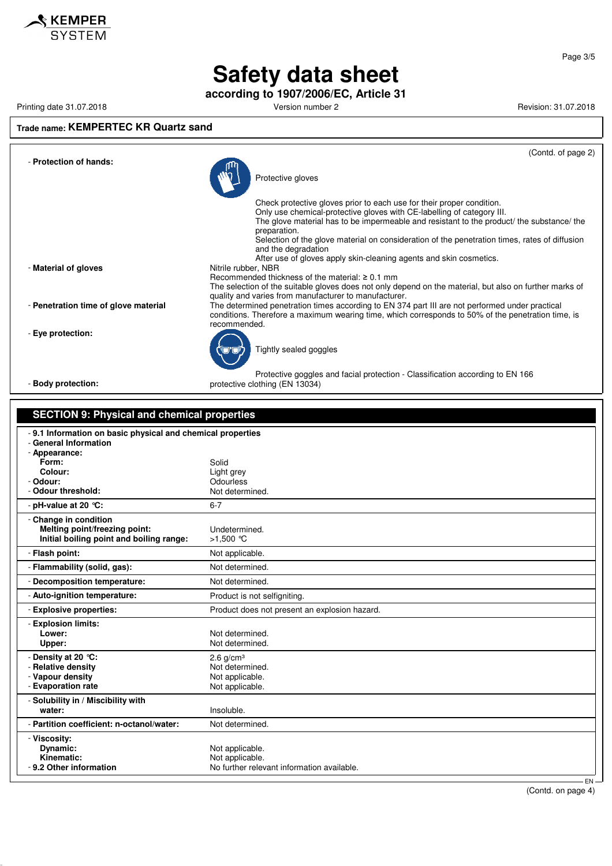

**according to 1907/2006/EC, Article 31**

Printing date 31.07.2018 **Printing date 31.07.2018** Version number 2 **Revision: 31.07.2018** Revision: 31.07.2018

#### **Trade name: KEMPERTEC KR Quartz sand**



| <b>SECTION 9: Physical and chemical properties</b>                                                   |                                               |
|------------------------------------------------------------------------------------------------------|-----------------------------------------------|
| -9.1 Information on basic physical and chemical properties<br>- General Information<br>- Appearance: |                                               |
| Form:                                                                                                | Solid                                         |
| Colour:                                                                                              | Light grey                                    |
| - Odour:                                                                                             | <b>Odourless</b>                              |
| - Odour threshold:                                                                                   | Not determined.                               |
| - pH-value at 20 $°C$ :                                                                              | $6 - 7$                                       |
| - Change in condition<br>Melting point/freezing point:<br>Initial boiling point and boiling range:   | Undetermined.<br>>1,500 ℃                     |
| - Flash point:                                                                                       | Not applicable.                               |
| - Flammability (solid, gas):                                                                         | Not determined.                               |
| - Decomposition temperature:                                                                         | Not determined.                               |
| - Auto-ignition temperature:                                                                         | Product is not selfigniting.                  |
| - Explosive properties:                                                                              | Product does not present an explosion hazard. |
| - Explosion limits:<br>Lower:                                                                        | Not determined.                               |
| Upper:                                                                                               | Not determined.                               |
| - Density at 20 °C:                                                                                  | $2.6$ g/cm <sup>3</sup>                       |
| - Relative density                                                                                   | Not determined.                               |
| - Vapour density                                                                                     | Not applicable.                               |
| - Evaporation rate                                                                                   | Not applicable.                               |
| - Solubility in / Miscibility with<br>water:                                                         | Insoluble.                                    |
|                                                                                                      |                                               |
| - Partition coefficient: n-octanol/water:                                                            | Not determined.                               |
| - Viscosity:                                                                                         |                                               |
| Dynamic:                                                                                             | Not applicable.                               |
| Kinematic:                                                                                           | Not applicable.                               |
| - 9.2 Other information                                                                              | No further relevant information available.    |
|                                                                                                      | $EN -$                                        |

(Contd. on page 4)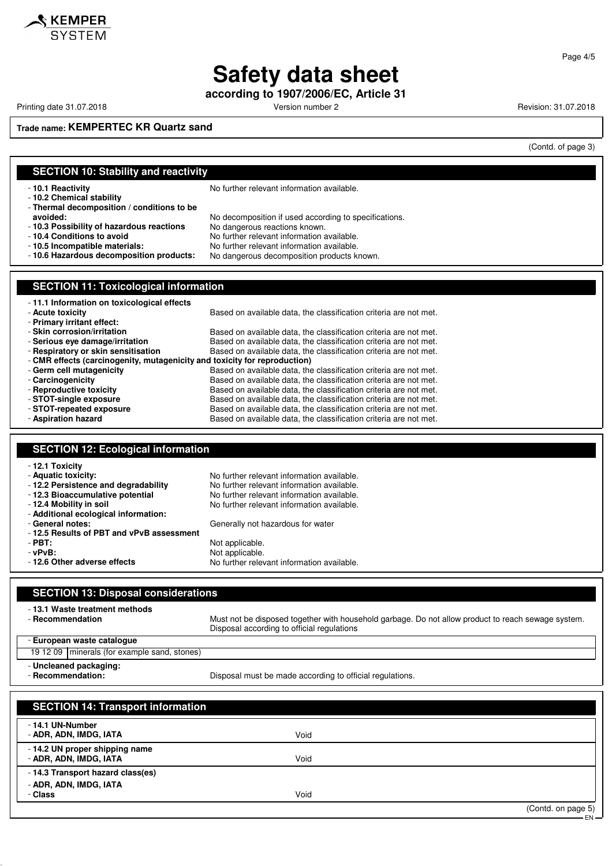**according to 1907/2006/EC, Article 31**

Printing date 31.07.2018 **Printing date 31.07.2018** Version number 2 **Revision: 31.07.2018** Revision: 31.07.2018

**SKEMPER** SYSTEM

Page 4/5

**Trade name: KEMPERTEC KR Quartz sand**

(Contd. of page 3)

## **SECTION 10: Stability and reactivity**

- **10.2 Chemical stability**

- **Thermal decomposition / conditions to be**

- 
- **10.3 Possibility of hazardous reactions** No dangerous reactions known.

- **10.5 Incompatible materials:** No further relevant information available.

- **10.1 Reactivity 10.1 Reactivity 10.1 Reactivity 10.1 Reactivity** 

- **avoided:** No decomposition if used according to specifications.
	- -
- **10.4 Conditions to avoid** No further relevant information available.
	- No dangerous decomposition products known.

## **SECTION 11: Toxicological information**

| -11.1 Information on toxicological effects                                |                                                                   |
|---------------------------------------------------------------------------|-------------------------------------------------------------------|
| - Acute toxicity                                                          | Based on available data, the classification criteria are not met. |
| - Primary irritant effect:                                                |                                                                   |
| - Skin corrosion/irritation                                               | Based on available data, the classification criteria are not met. |
| - Serious eye damage/irritation                                           | Based on available data, the classification criteria are not met. |
| - Respiratory or skin sensitisation                                       | Based on available data, the classification criteria are not met. |
| - CMR effects (carcinogenity, mutagenicity and toxicity for reproduction) |                                                                   |
| - Germ cell mutagenicity                                                  | Based on available data, the classification criteria are not met. |
| - Carcinogenicity                                                         | Based on available data, the classification criteria are not met. |
| - Reproductive toxicity                                                   | Based on available data, the classification criteria are not met. |
| - STOT-single exposure                                                    | Based on available data, the classification criteria are not met. |
| - STOT-repeated exposure                                                  | Based on available data, the classification criteria are not met. |
| - Aspiration hazard                                                       | Based on available data, the classification criteria are not met. |

#### **SECTION 12: Ecological information**

| - 12.1 Toxicity                          |                                            |
|------------------------------------------|--------------------------------------------|
| - Aquatic toxicity:                      | No further relevant information available. |
| -12.2 Persistence and degradability      | No further relevant information available. |
| - 12.3 Bioaccumulative potential         | No further relevant information available. |
| - 12.4 Mobility in soil                  | No further relevant information available. |
| - Additional ecological information:     |                                            |
| - General notes:                         | Generally not hazardous for water          |
| -12.5 Results of PBT and vPvB assessment |                                            |
| $-$ PBT:                                 | Not applicable.                            |
| - vPvB:                                  | Not applicable.                            |
| -12.6 Other adverse effects              | No further relevant information available. |

## **SECTION 13: Disposal considerations** - **13.1 Waste treatment methods** - **Recommendation** Must not be disposed together with household garbage. Do not allow product to reach sewage system. Disposal according to official regulations - **European waste catalogue** 19 12 09 minerals (for example sand, stones) - **Uncleaned packaging:** Disposal must be made according to official regulations. **SECTION 14: Transport information** - **14.1 UN-Number** - **ADR, ADN, IMDG, IATA** Void - **14.2 UN proper shipping name**

- **ADR, ADN, IMDG, IATA** Void - **14.3 Transport hazard class(es)**
	- **ADR, ADN, IMDG, IATA**
	- **Class** Void

(Contd. on page 5)

EN